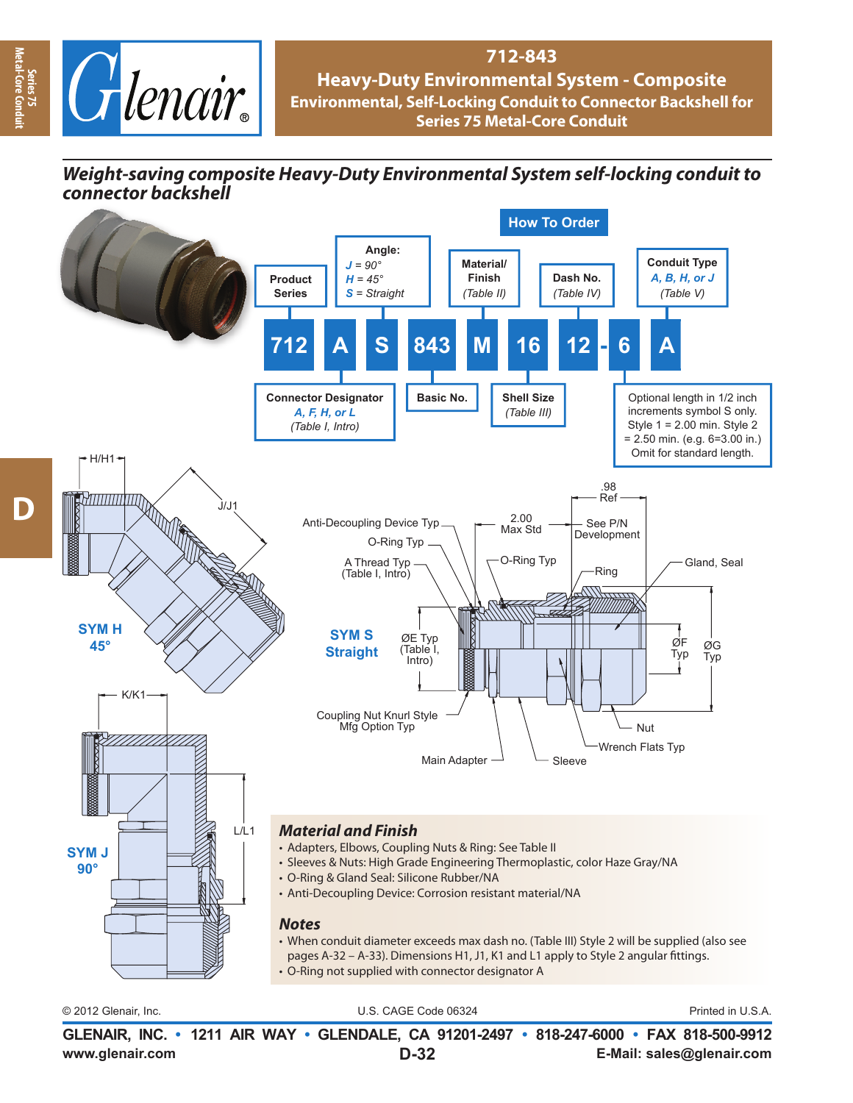

## **712-843 Heavy-Duty Environmental System - Composite Environmental, Self-Locking Conduit to Connector Backshell for Series 75 Metal-Core Conduit**

## *Weight-saving composite Heavy-Duty Environmental System self-locking conduit to connector backshell*



© 2012 Glenair, Inc. U.S. CAGE Code 06324 Printed in U.S.A.

**www.glenair.com E-Mail: sales@glenair.com GLENAIR, INC. • 1211 AIR WAY • GLENDALE, CA 91201-2497 • 818-247-6000 • FAX 818-500-9912 D-32**

**Series 75 Metal-Core Conduit**

-Core Co